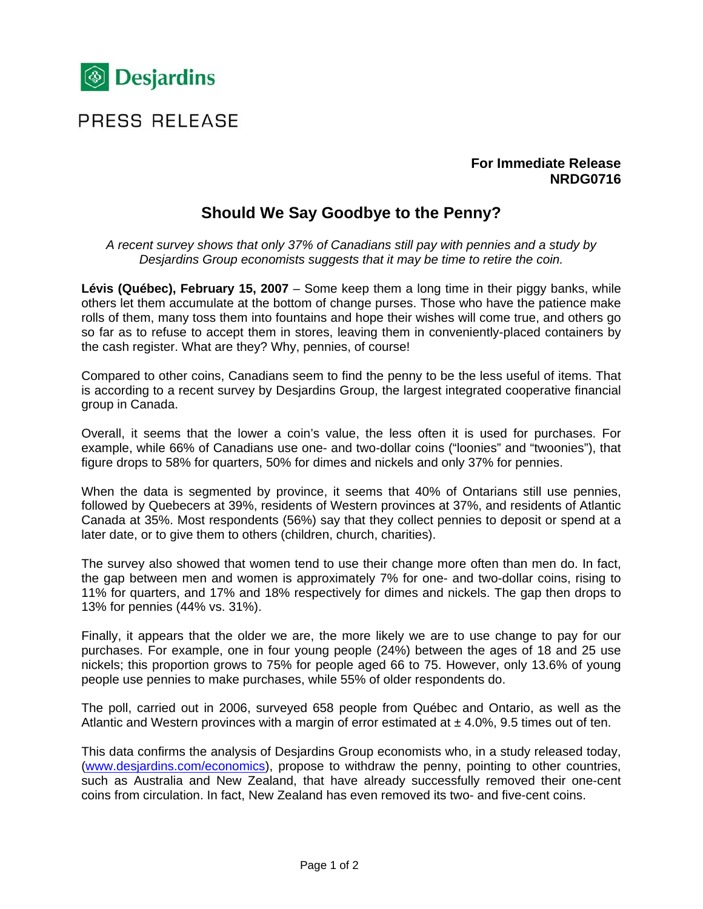

# PRESS RELEASE

### **For Immediate Release NRDG0716**

## **Should We Say Goodbye to the Penny?**

*A recent survey shows that only 37% of Canadians still pay with pennies and a study by Desjardins Group economists suggests that it may be time to retire the coin.* 

**Lévis (Québec), February 15, 2007** – Some keep them a long time in their piggy banks, while others let them accumulate at the bottom of change purses. Those who have the patience make rolls of them, many toss them into fountains and hope their wishes will come true, and others go so far as to refuse to accept them in stores, leaving them in conveniently-placed containers by the cash register. What are they? Why, pennies, of course!

Compared to other coins, Canadians seem to find the penny to be the less useful of items. That is according to a recent survey by Desjardins Group, the largest integrated cooperative financial group in Canada.

Overall, it seems that the lower a coin's value, the less often it is used for purchases. For example, while 66% of Canadians use one- and two-dollar coins ("loonies" and "twoonies"), that figure drops to 58% for quarters, 50% for dimes and nickels and only 37% for pennies.

When the data is segmented by province, it seems that 40% of Ontarians still use pennies, followed by Quebecers at 39%, residents of Western provinces at 37%, and residents of Atlantic Canada at 35%. Most respondents (56%) say that they collect pennies to deposit or spend at a later date, or to give them to others (children, church, charities).

The survey also showed that women tend to use their change more often than men do. In fact, the gap between men and women is approximately 7% for one- and two-dollar coins, rising to 11% for quarters, and 17% and 18% respectively for dimes and nickels. The gap then drops to 13% for pennies (44% vs. 31%).

Finally, it appears that the older we are, the more likely we are to use change to pay for our purchases. For example, one in four young people (24%) between the ages of 18 and 25 use nickels; this proportion grows to 75% for people aged 66 to 75. However, only 13.6% of young people use pennies to make purchases, while 55% of older respondents do.

The poll, carried out in 2006, surveyed 658 people from Québec and Ontario, as well as the Atlantic and Western provinces with a margin of error estimated at  $\pm$  4.0%, 9.5 times out of ten.

This data confirms the analysis of Desjardins Group economists who, in a study released today, (www.desjardins.com/economics), propose to withdraw the penny, pointing to other countries, such as Australia and New Zealand, that have already successfully removed their one-cent coins from circulation. In fact, New Zealand has even removed its two- and five-cent coins.